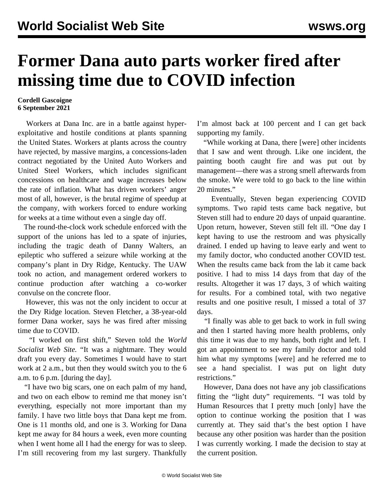## **Former Dana auto parts worker fired after missing time due to COVID infection**

## **Cordell Gascoigne 6 September 2021**

 Workers at Dana Inc. are in a battle against hyperexploitative and hostile conditions at plants spanning the United States. Workers at plants across the country have rejected, by massive margins, a concessions-laden contract negotiated by the United Auto Workers and United Steel Workers, which includes significant concessions on healthcare and wage increases below the rate of inflation. What has driven workers' anger most of all, however, is the brutal regime of speedup at the company, with workers forced to endure working for weeks at a time without even a single day off.

 The round-the-clock work schedule enforced with the support of the unions has led to a spate of injuries, including the tragic death of Danny Walters, an epileptic who suffered a seizure while working at the company's plant in Dry Ridge, Kentucky. The UAW took no action, and management ordered workers to continue production after watching a co-worker convulse on the concrete floor.

 However, this was not the only incident to occur at the Dry Ridge location. Steven Fletcher, a 38-year-old former Dana worker, says he was fired after missing time due to COVID.

 "I worked on first shift," Steven told the *World Socialist Web Site.* "It was a nightmare. They would draft you every day. Sometimes I would have to start work at 2 a.m., but then they would switch you to the 6 a.m. to 6 p.m. [during the day].

 "I have two big scars, one on each palm of my hand, and two on each elbow to remind me that money isn't everything, especially not more important than my family. I have two little boys that Dana kept me from. One is 11 months old, and one is 3. Working for Dana kept me away for 84 hours a week, even more counting when I went home all I had the energy for was to sleep. I'm still recovering from my last surgery. Thankfully

I'm almost back at 100 percent and I can get back supporting my family.

 "While working at Dana, there [were] other incidents that I saw and went through. Like one incident, the painting booth caught fire and was put out by management—there was a strong smell afterwards from the smoke. We were told to go back to the line within 20 minutes."

 Eventually, Steven began experiencing COVID symptoms. Two rapid tests came back negative, but Steven still had to endure 20 days of unpaid quarantine. Upon return, however, Steven still felt ill. "One day I kept having to use the restroom and was physically drained. I ended up having to leave early and went to my family doctor, who conducted another COVID test. When the results came back from the lab it came back positive. I had to miss 14 days from that day of the results. Altogether it was 17 days, 3 of which waiting for results. For a combined total, with two negative results and one positive result, I missed a total of 37 days.

 "I finally was able to get back to work in full swing and then I started having more health problems, only this time it was due to my hands, both right and left. I got an appointment to see my family doctor and told him what my symptoms [were] and he referred me to see a hand specialist. I was put on light duty restrictions."

 However, Dana does not have any job classifications fitting the "light duty" requirements. "I was told by Human Resources that I pretty much [only] have the option to continue working the position that I was currently at. They said that's the best option I have because any other position was harder than the position I was currently working. I made the decision to stay at the current position.